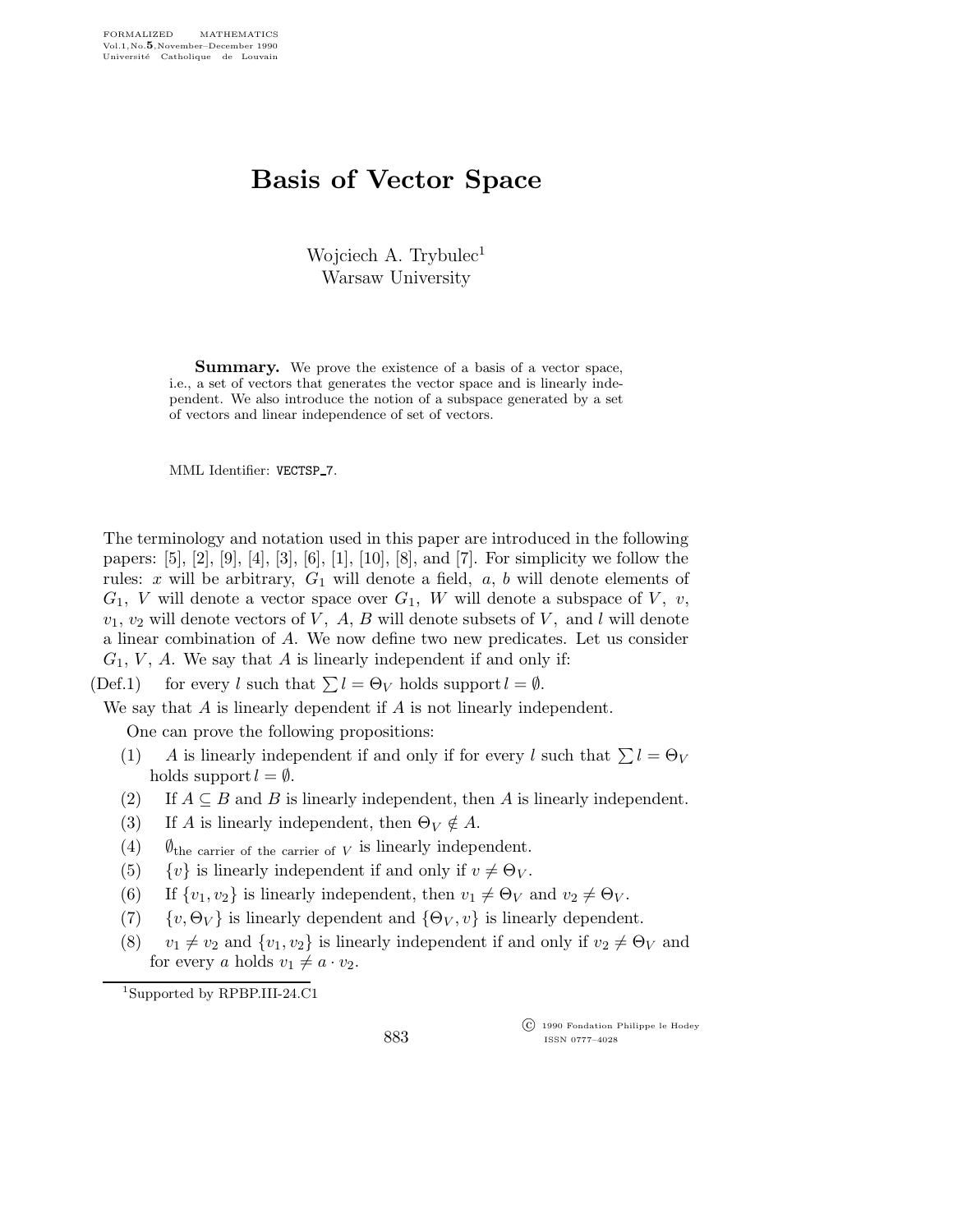## Basis of Vector Space

Wojciech A. Trybulec<sup>1</sup> Warsaw University

**Summary.** We prove the existence of a basis of a vector space, i.e., a set of vectors that generates the vector space and is linearly independent. We also introduce the notion of a subspace generated by a set of vectors and linear independence of set of vectors.

MML Identifier: VECTSP\_7.

The terminology and notation used in this paper are introduced in the following papers: [5], [2], [9], [4], [3], [6], [1], [10], [8], and [7]. For simplicity we follow the rules: x will be arbitrary,  $G_1$  will denote a field,  $a, b$  will denote elements of  $G_1$ , V will denote a vector space over  $G_1$ , W will denote a subspace of V, v,  $v_1, v_2$  will denote vectors of V, A, B will denote subsets of V, and l will denote a linear combination of A. We now define two new predicates. Let us consider  $G_1$ , V, A. We say that A is linearly independent if and only if:

(Def.1) for every l such that  $\sum l = \Theta_V$  holds support  $l = \emptyset$ .

We say that A is linearly dependent if A is not linearly independent.

One can prove the following propositions:

- (1) A is linearly independent if and only if for every l such that  $\sum l = \Theta_V$ holds support  $l = \emptyset$ .
- (2) If  $A \subseteq B$  and B is linearly independent, then A is linearly independent.
- (3) If A is linearly independent, then  $\Theta_V \notin A$ .
- (4)  $\emptyset$ <sub>the carrier of the carrier of V</sub> is linearly independent.
- (5)  $\{v\}$  is linearly independent if and only if  $v \neq \Theta_V$ .
- (6) If  $\{v_1, v_2\}$  is linearly independent, then  $v_1 \neq \Theta_V$  and  $v_2 \neq \Theta_V$ .
- (7)  $\{v, \Theta_V\}$  is linearly dependent and  $\{\Theta_V, v\}$  is linearly dependent.
- (8)  $v_1 \neq v_2$  and  $\{v_1,v_2\}$  is linearly independent if and only if  $v_2 \neq \Theta_V$  and for every a holds  $v_1 \neq a \cdot v_2$ .

<sup>1</sup>Supported by RPBP.III-24.C1

 c 1990 Fondation Philippe le Hodey ISSN 0777–4028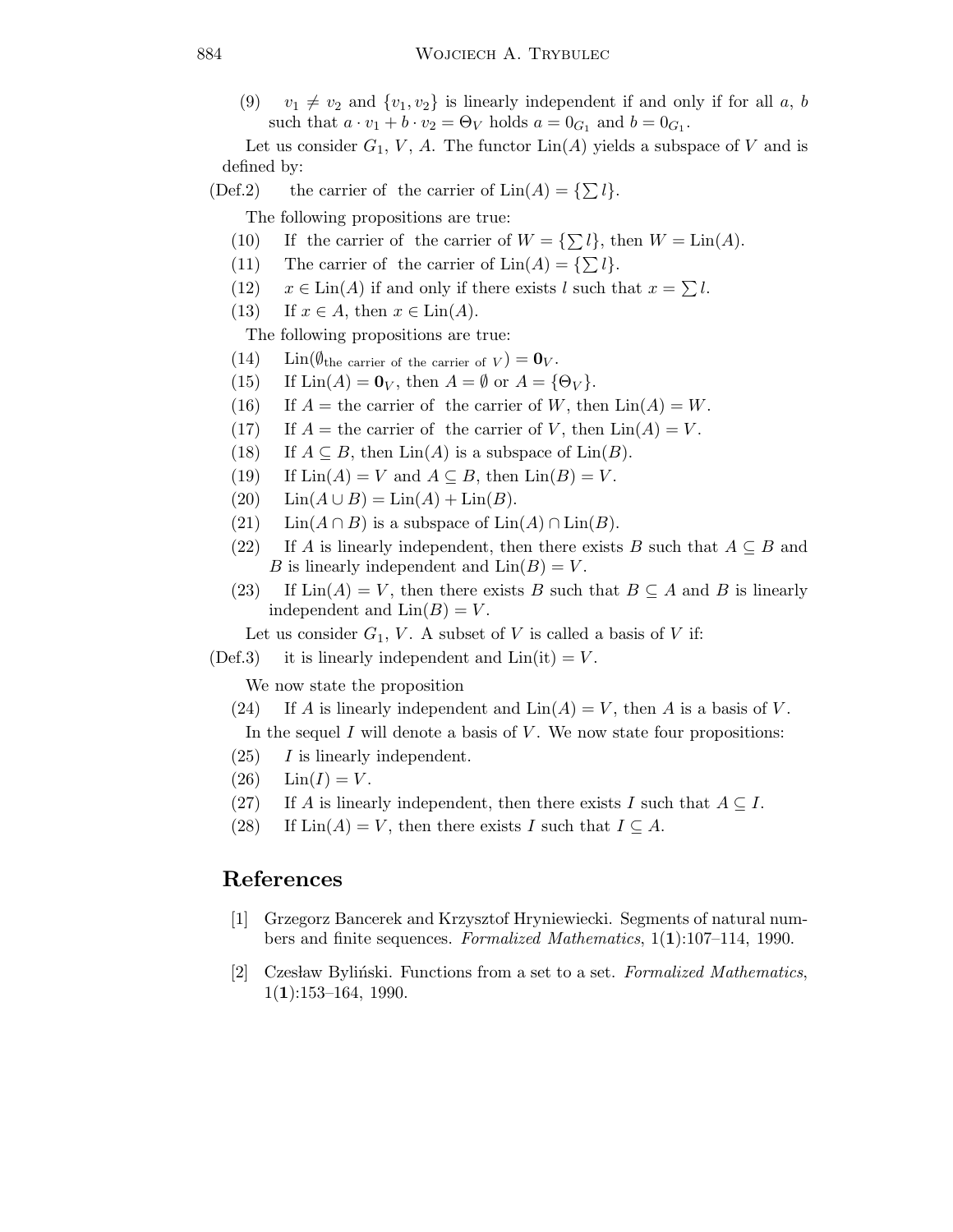(9)  $v_1 \neq v_2$  and  $\{v_1, v_2\}$  is linearly independent if and only if for all a, b such that  $a \cdot v_1 + b \cdot v_2 = \Theta_V$  holds  $a = 0_{G_1}$  and  $b = 0_{G_1}$ .

Let us consider  $G_1$ , V, A. The functor  $\text{Lin}(A)$  yields a subspace of V and is defined by:

(Def.2) the carrier of the carrier of  $\text{Lin}(A) = \{\sum l\}.$ 

The following propositions are true:

- (10) If the carrier of the carrier of  $W = \{\sum l\}$ , then  $W = \text{Lin}(A)$ .
- (11) The carrier of the carrier of  $\text{Lin}(A) = \{\sum l\}.$
- (12)  $x \in \text{Lin}(A)$  if and only if there exists l such that  $x = \sum l$ .
- (13) If  $x \in A$ , then  $x \in \text{Lin}(A)$ .

The following propositions are true:

- $(14)$  Lin $(\emptyset_{\text{the carrier of the carrier of } V}) = \mathbf{0}_{V}.$
- (15) If  $\text{Lin}(A) = \mathbf{0}_V$ , then  $A = \emptyset$  or  $A = \{\Theta_V\}.$
- (16) If  $A =$  the carrier of the carrier of W, then  $\text{Lin}(A) = W$ .
- (17) If  $A =$  the carrier of the carrier of V, then  $\text{Lin}(A) = V$ .
- (18) If  $A \subseteq B$ , then  $\text{Lin}(A)$  is a subspace of  $\text{Lin}(B)$ .
- (19) If  $\text{Lin}(A) = V$  and  $A \subseteq B$ , then  $\text{Lin}(B) = V$ .
- (20)  $\text{Lin}(A \cup B) = \text{Lin}(A) + \text{Lin}(B).$
- (21) Lin( $A \cap B$ ) is a subspace of Lin(A) ∩ Lin(B).
- (22) If A is linearly independent, then there exists B such that  $A \subseteq B$  and B is linearly independent and  $\text{Lin}(B) = V$ .
- (23) If  $\text{Lin}(A) = V$ , then there exists B such that  $B \subseteq A$  and B is linearly independent and  $\text{Lin}(B) = V$ .

Let us consider  $G_1$ , V. A subset of V is called a basis of V if:

 $(Def.3)$  it is linearly independent and  $Lin(it) = V$ .

We now state the proposition

- (24) If A is linearly independent and  $\text{Lin}(A) = V$ , then A is a basis of V. In the sequel  $I$  will denote a basis of  $V$ . We now state four propositions:
- $(25)$  I is linearly independent.
- $(26)$   $\text{Lin}(I) = V.$
- (27) If A is linearly independent, then there exists I such that  $A \subseteq I$ .
- (28) If  $\text{Lin}(A) = V$ , then there exists I such that  $I \subseteq A$ .

## References

- [1] Grzegorz Bancerek and Krzysztof Hryniewiecki. Segments of natural numbers and finite sequences. Formalized Mathematics, 1(1):107–114, 1990.
- [2] Czesław Byliński. Functions from a set to a set. Formalized Mathematics,  $1(1):153-164, 1990.$